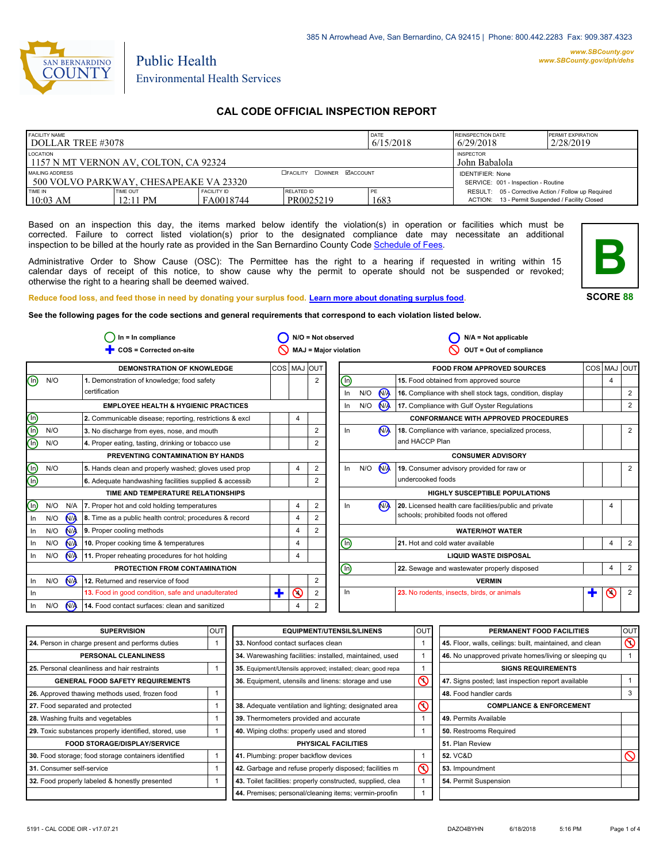

# Public Health Environmental Health Services

## **CAL CODE OFFICIAL INSPECTION REPORT**

| <b>FACILITY NAME</b><br>DOLLAR TREE #3078                 |                                       | <b>REINSPECTION DATE</b><br><b>PERMIT EXPIRATION</b><br>2/28/2019<br>6/29/2018 |                                                                |            |                                                                                                        |  |
|-----------------------------------------------------------|---------------------------------------|--------------------------------------------------------------------------------|----------------------------------------------------------------|------------|--------------------------------------------------------------------------------------------------------|--|
| LOCATION<br>1157 N MT VERNON AV, COLTON, CA 92324         |                                       |                                                                                | <b>INSPECTOR</b><br>John Babalola                              |            |                                                                                                        |  |
| MAILING ADDRESS<br>500 VOLVO PARKWAY, CHESAPEAKE VA 23320 |                                       | <b>CFACILITY COWNER MACCOUNT</b>                                               | <b>IDENTIFIER: None</b><br>SERVICE: 001 - Inspection - Routine |            |                                                                                                        |  |
| TIME IN<br>$10:03$ AM                                     | <b>TIME OUT</b><br>$12:11 \text{ PM}$ | <b>FACILITY ID</b><br>FA0018744                                                | RELATED ID<br>PR0025219                                        | PE<br>1683 | RESULT: 05 - Corrective Action / Follow up Required<br>ACTION: 13 - Permit Suspended / Facility Closed |  |

Based on an inspection this day, the items marked below identify the violation(s) in operation or facilities which must be corrected. Failure to correct listed violation(s) prior to the designated compliance date may necessitate an additional inspection to be billed at the hourly rate as provided in the San Bernardino County Code Schedule [of Fees.](http://www.amlegal.com/nxt/gateway.dll/California/sanbernardinocounty_ca/title1governmentandadministration/division6countyfees/chapter2scheduleoffees?f=templates$fn=default.htm$3.0$vid=amlegal:sanbernardinocounty_ca$anc=JD_16.0213B)

Administrative Order to Show Cause (OSC): The Permittee has the right to a hearing if requested in writing within 15 calendar days of receipt of this notice, to show cause why the permit to operate should not be suspended or revoked; otherwise the right to a hearing shall be deemed waived.



**SCORE 88**

**Reduce food loss, and feed those in need by donating your surplus food. Learn mor[e about donating surplus food.](http://wp.sbcounty.gov/dph/programs/ehs/food-facilities/)**

**See the following pages for the code sections and general requirements that correspond to each violation listed below.**

| $In = In$ compliance |     | $N/O = Not observed$ |                                                         | $N/A = Not applicable$ |         |   |                                |     |                      |                                                          |   |                |                |
|----------------------|-----|----------------------|---------------------------------------------------------|------------------------|---------|---|--------------------------------|-----|----------------------|----------------------------------------------------------|---|----------------|----------------|
|                      |     |                      | COS = Corrected on-site                                 |                        |         |   | MAJ = Major violation          |     |                      | OUT = Out of compliance                                  |   |                |                |
|                      |     |                      | DEMONSTRATION OF KNOWLEDGE                              | COS MAJ OUT            |         |   |                                |     |                      | <b>FOOD FROM APPROVED SOURCES</b>                        |   | COS MAJ        | lout           |
| ⋒                    | N/O |                      | 1. Demonstration of knowledge; food safety              |                        |         | 2 | $\textcircled{\scriptsize{1}}$ |     |                      | 15. Food obtained from approved source                   |   | $\overline{4}$ |                |
|                      |     |                      | certification                                           |                        |         |   | In                             | N/O | <b>NA</b>            | 16. Compliance with shell stock tags, condition, display |   |                | 2              |
|                      |     |                      | <b>EMPLOYEE HEALTH &amp; HYGIENIC PRACTICES</b>         |                        |         |   | In                             | N/O | <b>N<sub>A</sub></b> | 17. Compliance with Gulf Oyster Regulations              |   |                | $\overline{2}$ |
| 900                  |     |                      | 2. Communicable disease; reporting, restrictions & excl |                        | 4       |   |                                |     |                      | <b>CONFORMANCE WITH APPROVED PROCEDURES</b>              |   |                |                |
|                      | N/O |                      | 3. No discharge from eyes, nose, and mouth              |                        |         | 2 | In                             |     | N <sub>1</sub>       | 18. Compliance with variance, specialized process,       |   |                | $\overline{2}$ |
|                      | N/O |                      | 4. Proper eating, tasting, drinking or tobacco use      |                        |         |   |                                |     |                      | and HACCP Plan                                           |   |                |                |
|                      |     |                      | PREVENTING CONTAMINATION BY HANDS                       |                        |         |   |                                |     |                      | <b>CONSUMER ADVISORY</b>                                 |   |                |                |
| <u>මල</u>            | N/O |                      | 5. Hands clean and properly washed; gloves used prop    |                        | 4       | 2 | In                             | N/O | N                    | 19. Consumer advisory provided for raw or                |   |                | 2              |
|                      |     |                      | 6. Adequate handwashing facilities supplied & accessib  |                        |         | 2 |                                |     |                      | undercooked foods                                        |   |                |                |
|                      |     |                      | TIME AND TEMPERATURE RELATIONSHIPS                      |                        |         |   |                                |     |                      | <b>HIGHLY SUSCEPTIBLE POPULATIONS</b>                    |   |                |                |
| $\mathbb O$          | N/O | N/A                  | 7. Proper hot and cold holding temperatures             |                        | 4       | 2 | In                             |     | N <sub>A</sub>       | 20. Licensed health care facilities/public and private   |   | 4              |                |
| In                   | N/O | N <sub>/</sub>       | 8. Time as a public health control; procedures & record |                        | 4       | 2 |                                |     |                      | schools; prohibited foods not offered                    |   |                |                |
| In                   | N/O | N/A                  | 9. Proper cooling methods                               |                        | 4       | 2 |                                |     |                      | <b>WATER/HOT WATER</b>                                   |   |                |                |
| In                   | N/O | N <sub>A</sub>       | 10. Proper cooking time & temperatures                  |                        | 4       |   | (Ir                            |     |                      | 21. Hot and cold water available                         |   | $\overline{4}$ | $\overline{2}$ |
| In                   | N/O | <b>N<sub>A</sub></b> | 11. Proper reheating procedures for hot holding         |                        | 4       |   |                                |     |                      | <b>LIQUID WASTE DISPOSAL</b>                             |   |                |                |
|                      |     |                      | PROTECTION FROM CONTAMINATION                           |                        |         |   | ⊚                              |     |                      | 22. Sewage and wastewater properly disposed              |   | 4              | $\overline{2}$ |
| In                   | N/O | $\sqrt{M}$           | 12. Returned and reservice of food                      |                        |         | 2 |                                |     |                      | <b>VERMIN</b>                                            |   |                |                |
| In                   |     |                      | 13. Food in good condition, safe and unadulterated      | ╋                      | $\odot$ | 2 | ln                             |     |                      | 23. No rodents, insects, birds, or animals               | T | $\odot$        | $\overline{2}$ |
| - In                 | N/O | $N_A$                | 14. Food contact surfaces: clean and sanitized          |                        | 4       | 2 |                                |     |                      |                                                          |   |                |                |

| <b>SUPERVISION</b>                                    | lout | <b>EQUIPMENT/UTENSILS/LINENS</b>                                      | OUT                     | PERMANENT FOOD FACILITIES                                | <b>OUT</b> |  |
|-------------------------------------------------------|------|-----------------------------------------------------------------------|-------------------------|----------------------------------------------------------|------------|--|
| 24. Person in charge present and performs duties      |      | 33. Nonfood contact surfaces clean                                    |                         | 45. Floor, walls, ceilings: built, maintained, and clean | $\infty$   |  |
| PERSONAL CLEANLINESS                                  |      | 34. Warewashing facilities: installed, maintained, used               |                         | 46. No unapproved private homes/living or sleeping gu    |            |  |
| 25. Personal cleanliness and hair restraints          |      | 35. Equipment/Utensils approved; installed; clean; good repa          |                         | <b>SIGNS REQUIREMENTS</b>                                |            |  |
| <b>GENERAL FOOD SAFETY REQUIREMENTS</b>               |      | 36. Equipment, utensils and linens: storage and use                   | $\overline{\circ}$      | 47. Signs posted; last inspection report available       |            |  |
| 26. Approved thawing methods used, frozen food        |      |                                                                       |                         | 48. Food handler cards                                   |            |  |
| 27. Food separated and protected                      |      | 38. Adequate ventilation and lighting; designated area                | $\circledcirc$          | <b>COMPLIANCE &amp; ENFORCEMENT</b>                      |            |  |
| 28. Washing fruits and vegetables                     |      | 39. Thermometers provided and accurate                                |                         | 49. Permits Available                                    |            |  |
| 29. Toxic substances properly identified, stored, use |      | 40. Wiping cloths: properly used and stored<br>50. Restrooms Required |                         |                                                          |            |  |
| <b>FOOD STORAGE/DISPLAY/SERVICE</b>                   |      | PHYSICAL FACILITIES                                                   |                         | 51. Plan Review                                          |            |  |
| 30. Food storage; food storage containers identified  |      | 41. Plumbing: proper backflow devices                                 |                         | <b>52. VC&amp;D</b>                                      | $\sim$     |  |
| 31. Consumer self-service                             |      | 42. Garbage and refuse properly disposed; facilities m                | $\overline{\mathsf{O}}$ | 53. Impoundment                                          |            |  |
| 32. Food properly labeled & honestly presented        |      | 43. Toilet facilities: properly constructed, supplied, clea           |                         | 54. Permit Suspension                                    |            |  |
|                                                       |      | 44. Premises; personal/cleaning items; vermin-proofin                 |                         |                                                          |            |  |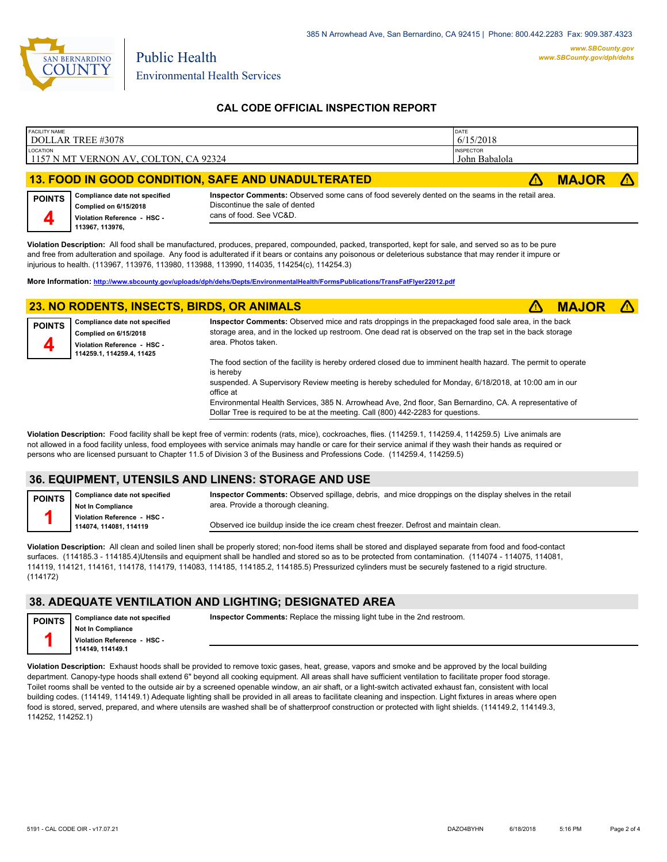

Environmental Health Services

Public Health

## **CAL CODE OFFICIAL INSPECTION REPORT**

| <b>FACILITY NAME</b><br>DOLLAR TREE #3078                 | DATE<br>6/15/2018                 |              |  |
|-----------------------------------------------------------|-----------------------------------|--------------|--|
| LOCATION<br>1157 N MT VERNON AV, COLTON, CA 92324         | <b>INSPECTOR</b><br>John Babalola |              |  |
| <b>13. FOOD IN GOOD CONDITION, SAFE AND UNADULTERATED</b> |                                   | <b>MAJOR</b> |  |

#### **Compliance date not specified Complied on 6/15/2018 Violation Reference - HSC - 113967, 113976, POINTS 4 Inspector Comments:** Observed some cans of food severely dented on the seams in the retail area. Discontinue the sale of dented cans of food. See VC&D.

**Violation Description:** All food shall be manufactured, produces, prepared, compounded, packed, transported, kept for sale, and served so as to be pure and free from adulteration and spoilage. Any food is adulterated if it bears or contains any poisonous or deleterious substance that may render it impure or injurious to health. (113967, 113976, 113980, 113988, 113990, 114035, 114254(c), 114254.3)

**More Information: <http://www.sbcounty.gov/uploads/dph/dehs/Depts/EnvironmentalHealth/FormsPublications/TransFatFlyer22012.pdf>**

#### **23. NO RODENTS, INSECTS, BIRDS, OR ANIMALS** ê**! MAJOR** ê**!**



| <b>POINTS</b> | Compliance date not specified<br>Complied on 6/15/2018<br>Violation Reference - HSC -<br>114259.1, 114259.4, 11425 | Inspector Comments: Observed mice and rats droppings in the prepackaged food sale area, in the back<br>storage area, and in the locked up restroom. One dead rat is observed on the trap set in the back storage<br>area. Photos taken.           |  |  |  |  |  |
|---------------|--------------------------------------------------------------------------------------------------------------------|---------------------------------------------------------------------------------------------------------------------------------------------------------------------------------------------------------------------------------------------------|--|--|--|--|--|
|               |                                                                                                                    | The food section of the facility is hereby ordered closed due to imminent health hazard. The permit to operate<br>is hereby<br>suspended. A Supervisory Review meeting is hereby scheduled for Monday, 6/18/2018, at 10:00 am in our<br>office at |  |  |  |  |  |

Environmental Health Services, 385 N. Arrowhead Ave, 2nd floor, San Bernardino, CA. A representative of Dollar Tree is required to be at the meeting. Call (800) 442-2283 for questions.

**Violation Description:** Food facility shall be kept free of vermin: rodents (rats, mice), cockroaches, flies. (114259.1, 114259.4, 114259.5) Live animals are not allowed in a food facility unless, food employees with service animals may handle or care for their service animal if they wash their hands as required or persons who are licensed pursuant to Chapter 11.5 of Division 3 of the Business and Professions Code. (114259.4, 114259.5)

## **36. EQUIPMENT, UTENSILS AND LINENS: STORAGE AND USE**

**POINTS 1**

**Compliance date not specified Not In Compliance Violation Reference - HSC - 114074, 114081, 114119**

**Inspector Comments:** Observed spillage, debris, and mice droppings on the display shelves in the retail area. Provide a thorough cleaning.

Observed ice buildup inside the ice cream chest freezer. Defrost and maintain clean.

**Violation Description:** All clean and soiled linen shall be properly stored; non-food items shall be stored and displayed separate from food and food-contact surfaces. (114185.3 - 114185.4)Utensils and equipment shall be handled and stored so as to be protected from contamination. (114074 - 114075, 114081, 114119, 114121, 114161, 114178, 114179, 114083, 114185, 114185.2, 114185.5) Pressurized cylinders must be securely fastened to a rigid structure. (114172)

#### **38. ADEQUATE VENTILATION AND LIGHTING; DESIGNATED AREA**

| <b>POINTS</b> | Compliance date not specified                   |  |  |  |  |
|---------------|-------------------------------------------------|--|--|--|--|
|               | Not In Compliance                               |  |  |  |  |
|               | Violation Reference - HSC -<br>114149, 114149.1 |  |  |  |  |
|               |                                                 |  |  |  |  |

**Inspector Comments:** Replace the missing light tube in the 2nd restroom.

**Violation Description:** Exhaust hoods shall be provided to remove toxic gases, heat, grease, vapors and smoke and be approved by the local building department. Canopy-type hoods shall extend 6" beyond all cooking equipment. All areas shall have sufficient ventilation to facilitate proper food storage. Toilet rooms shall be vented to the outside air by a screened openable window, an air shaft, or a light-switch activated exhaust fan, consistent with local building codes. (114149, 114149.1) Adequate lighting shall be provided in all areas to facilitate cleaning and inspection. Light fixtures in areas where open food is stored, served, prepared, and where utensils are washed shall be of shatterproof construction or protected with light shields. (114149.2, 114149.3, 114252, 114252.1)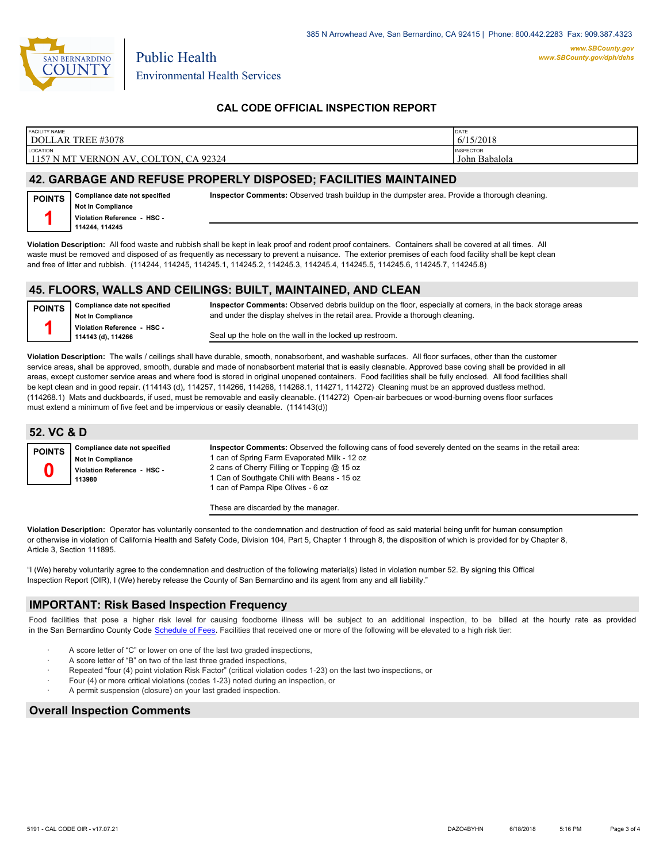

Environmental Health Services

Public Health

## **CAL CODE OFFICIAL INSPECTION REPORT**

| <b>FACILITY NAME</b><br>DOLLAR TREE #3078                                      | <b>DATE</b><br>6/15/2018          |
|--------------------------------------------------------------------------------|-----------------------------------|
| <b>LOCATION</b><br>. CA 92324<br>, COLTON,<br><b>VERNON</b><br>1157 N MT<br>AV | <b>INSPECTOR</b><br>John Babalola |
|                                                                                |                                   |

#### **42. GARBAGE AND REFUSE PROPERLY DISPOSED; FACILITIES MAINTAINED**

| <b>POINTS</b> | Compliance date not specified |
|---------------|-------------------------------|
|               | Not In Compliance             |
|               | Violation Reference - HSC -   |
|               | 114244, 114245                |

**Violation Description:** All food waste and rubbish shall be kept in leak proof and rodent proof containers. Containers shall be covered at all times. All waste must be removed and disposed of as frequently as necessary to prevent a nuisance. The exterior premises of each food facility shall be kept clean and free of litter and rubbish. (114244, 114245, 114245.1, 114245.2, 114245.3, 114245.4, 114245.5, 114245.6, 114245.7, 114245.8)

#### **45. FLOORS, WALLS AND CEILINGS: BUILT, MAINTAINED, AND CLEAN**

**Compliance date not specified Not In Compliance Violation Reference - HSC - 114143 (d), 114266 POINTS 1**

**Inspector Comments:** Observed debris buildup on the floor, especially at corners, in the back storage areas and under the display shelves in the retail area. Provide a thorough cleaning.

**Inspector Comments:** Observed trash buildup in the dumpster area. Provide a thorough cleaning.

Seal up the hole on the wall in the locked up restroom.

**Violation Description:** The walls / ceilings shall have durable, smooth, nonabsorbent, and washable surfaces. All floor surfaces, other than the customer service areas, shall be approved, smooth, durable and made of nonabsorbent material that is easily cleanable. Approved base coving shall be provided in all areas, except customer service areas and where food is stored in original unopened containers. Food facilities shall be fully enclosed. All food facilities shall be kept clean and in good repair. (114143 (d), 114257, 114266, 114268, 114268.1, 114271, 114272) Cleaning must be an approved dustless method. (114268.1) Mats and duckboards, if used, must be removable and easily cleanable. (114272) Open-air barbecues or wood-burning ovens floor surfaces must extend a minimum of five feet and be impervious or easily cleanable. (114143(d))

| 52. VC & D    |                                                                                                    |                                                                                                                                                                                                                                                                                           |
|---------------|----------------------------------------------------------------------------------------------------|-------------------------------------------------------------------------------------------------------------------------------------------------------------------------------------------------------------------------------------------------------------------------------------------|
| <b>POINTS</b> | Compliance date not specified<br><b>Not In Compliance</b><br>Violation Reference - HSC -<br>113980 | Inspector Comments: Observed the following cans of food severely dented on the seams in the retail area:<br>1 can of Spring Farm Evaporated Milk - 12 oz<br>2 cans of Cherry Filling or Topping @ 15 oz<br>1 Can of Southgate Chili with Beans - 15 oz<br>can of Pampa Ripe Olives - 6 oz |

These are discarded by the manager.

**Violation Description:** Operator has voluntarily consented to the condemnation and destruction of food as said material being unfit for human consumption or otherwise in violation of California Health and Safety Code, Division 104, Part 5, Chapter 1 through 8, the disposition of which is provided for by Chapter 8, Article 3, Section 111895.

"I (We) hereby voluntarily agree to the condemnation and destruction of the following material(s) listed in violation number 52. By signing this Offical Inspection Report (OIR), I (We) hereby release the County of San Bernardino and its agent from any and all liability."

## **IMPORTANT: Risk Based Inspection Frequency**

Food facilities that pose a higher risk level for causing foodborne illness will be subject to an additional inspection, to be billed at the hourly rate as provided in the San Bernardino County Code S[chedule of Fees. Facilitie](http://www.amlegal.com/nxt/gateway.dll/California/sanbernardinocounty_ca/title1governmentandadministration/division6countyfees/chapter2scheduleoffees?f=templates$fn=default.htm$3.0$vid=amlegal:sanbernardinocounty_ca$anc=JD_16.0213B)s that received one or more of the following will be elevated to a high risk tier:

- A score letter of "C" or lower on one of the last two graded inspections
- A score letter of "B" on two of the last three graded inspections,
- Repeated "four (4) point violation Risk Factor" (critical violation codes 1-23) on the last two inspections, or
- Four (4) or more critical violations (codes 1-23) noted during an inspection, or
- · A permit suspension (closure) on your last graded inspection.

#### **Overall Inspection Comments**